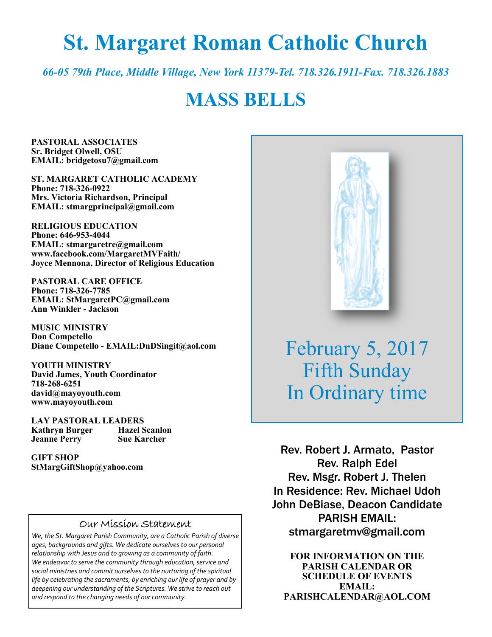# **St. Margaret Roman Catholic Church**

*66-05 79th Place, Middle Village, New York 11379-Tel. 718.326.1911-Fax. 718.326.1883* 

# **MASS BELLS**

**PASTORAL ASSOCIATES Sr. Bridget Olwell, OSU EMAIL: bridgetosu7@gmail.com** 

**ST. MARGARET CATHOLIC ACADEMY Phone: 718-326-0922 Mrs. Victoria Richardson, Principal EMAIL: stmargprincipal@gmail.com** 

**RELIGIOUS EDUCATION Phone: 646-953-4044 EMAIL: stmargaretre@gmail.com www.facebook.com/MargaretMVFaith/ Joyce Mennona, Director of Religious Education** 

**PASTORAL CARE OFFICE Phone: 718-326-7785 EMAIL: StMargaretPC@gmail.com Ann Winkler - Jackson** 

**MUSIC MINISTRY Don Competello Diane Competello - EMAIL:DnDSingit@aol.com** 

**YOUTH MINISTRY David James, Youth Coordinator 718-268-6251 david@mayoyouth.com www.mayoyouth.com** 

**LAY PASTORAL LEADERS Kathryn Burger Jeanne Perry Sue Karcher** 

**GIFT SHOP StMargGiftShop@yahoo.com**

#### Our Mission Statement

*We, the St. Margaret Parish Community, are a Catholic Parish of diverse ages, backgrounds and gifts. We dedicate ourselves to our personal relationship with Jesus and to growing as a community of faith. We endeavor to serve the community through education, service and social ministries and commit ourselves to the nurturing of the spiritual life by celebrating the sacraments, by enriching our life of prayer and by deepening our understanding of the Scriptures. We strive to reach out and respond to the changing needs of our community.*



February 5, 2017 Fifth Sunday In Ordinary time

Rev. Robert J. Armato, Pastor Rev. Ralph Edel Rev. Msgr. Robert J. Thelen In Residence: Rev. Michael Udoh John DeBiase, Deacon Candidate PARISH EMAIL: stmargaretmv@gmail.com

**FOR INFORMATION ON THE PARISH CALENDAR OR SCHEDULE OF EVENTS EMAIL: PARISHCALENDAR@AOL.COM**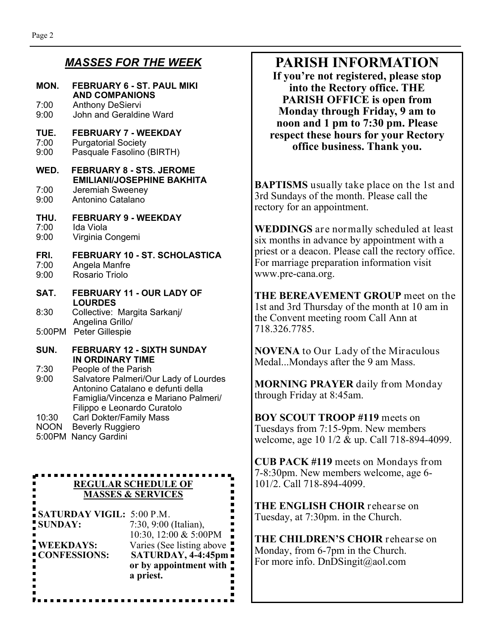r. 

 $\blacksquare$ ■  $\blacksquare$ 

Ē.  $\blacksquare$  $\blacksquare$ 

#### *MASSES FOR THE WEEK*

| MON.                                                                                                 | <b>FEBRUARY 6 - ST. PAUL MIKI</b><br><b>AND COMPANIONS</b>                                                                                                                                                                         |  |
|------------------------------------------------------------------------------------------------------|------------------------------------------------------------------------------------------------------------------------------------------------------------------------------------------------------------------------------------|--|
| 7:00.<br>9:00                                                                                        | <b>Anthony DeSiervi</b><br>John and Geraldine Ward                                                                                                                                                                                 |  |
| TUE.<br>7:00<br>9:00                                                                                 | <b>FEBRUARY 7 - WEEKDAY</b><br><b>Purgatorial Society</b><br>Pasquale Fasolino (BIRTH)                                                                                                                                             |  |
| WED.<br>7:00<br>9:00                                                                                 | <b>FEBRUARY 8 - STS. JEROME</b><br><b>EMILIANI/JOSEPHINE BAKHITA</b><br>Jeremiah Sweeney<br>Antonino Catalano                                                                                                                      |  |
| THU.<br>7:00<br>9:00                                                                                 | <b>FEBRUARY 9 - WEEKDAY</b><br>Ida Viola<br>Virginia Congemi                                                                                                                                                                       |  |
| FRI.<br>7:00<br>9:00                                                                                 | FEBRUARY 10 - ST. SCHOLASTICA<br>Angela Manfre<br>Rosario Triolo                                                                                                                                                                   |  |
| SAT.                                                                                                 | FEBRUARY 11 - OUR LADY OF<br><b>LOURDES</b>                                                                                                                                                                                        |  |
| 8:30                                                                                                 | Collective: Margita Sarkanj/<br>Angelina Grillo/                                                                                                                                                                                   |  |
|                                                                                                      | 5:00PM Peter Gillespie                                                                                                                                                                                                             |  |
| SUN.<br>7:30<br>9:00                                                                                 | <b>FEBRUARY 12 - SIXTH SUNDAY</b><br>IN ORDINARY TIME<br>People of the Parish<br>Salvatore Palmeri/Our Lady of Lourdes<br>Antonino Catalano e defunti della<br>Famiglia/Vincenza e Mariano Palmeri/<br>Filippo e Leonardo Curatolo |  |
| 10:30<br>NOON<br>5:00PM                                                                              | <b>Carl Dokter/Family Mass</b><br><b>Beverly Ruggiero</b><br>Nancy Gardini                                                                                                                                                         |  |
|                                                                                                      | <b>REGULAR SCHEDULE OF</b><br><u>MASSES &amp; SERVICES</u>                                                                                                                                                                         |  |
| <b>SATURDAY VIGIL: 5:00 P.M.</b><br>7:30, 9:00 (Italian),<br><b>SUNDAY:</b><br>10:30, 12:00 & 5:00PM |                                                                                                                                                                                                                                    |  |
| Varies (See listing above<br><b>WEEKDAYS:</b><br>SATURDAY, 4-4:45pm<br><b>CONFESSIONS:</b>           |                                                                                                                                                                                                                                    |  |

 **or by appointment with** 

F

 **a priest.**

## **PARISH INFORMATION**

**If you're not registered, please stop into the Rectory office. THE PARISH OFFICE is open from Monday through Friday, 9 am to noon and 1 pm to 7:30 pm. Please respect these hours for your Rectory office business. Thank you.** 

**BAPTISMS** usually take place on the 1st and 3rd Sundays of the month. Please call the rectory for an appointment.

**WEDDINGS** are normally scheduled at least six months in advance by appointment with a priest or a deacon. Please call the rectory office. For marriage preparation information visit www.pre-cana.org.

**THE BEREAVEMENT GROUP** meet on the 1st and 3rd Thursday of the month at 10 am in the Convent meeting room Call Ann at 718.326.7785.

**NOVENA** to Our Lady of the Miraculous Medal...Mondays after the 9 am Mass.

**MORNING PRAYER** daily from Monday through Friday at 8:45am.

**BOY SCOUT TROOP #119** meets on Tuesdays from 7:15-9pm. New members welcome, age 10 1/2 & up. Call 718-894-4099.

**CUB PACK #119** meets on Mondays from 7-8:30pm. New members welcome, age 6- 101/2. Call 718-894-4099.

**THE ENGLISH CHOIR** rehearse on Tuesday, at 7:30pm. in the Church.

**THE CHILDREN'S CHOIR** rehearse on Monday, from 6-7pm in the Church. For more info. DnDSingit@aol.com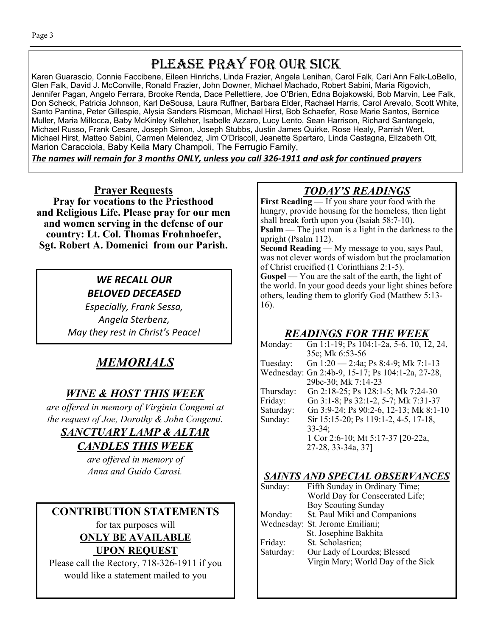# PLEASE PRAY FOR OUR SICK

Karen Guarascio, Connie Faccibene, Eileen Hinrichs, Linda Frazier, Angela Lenihan, Carol Falk, Cari Ann Falk-LoBello, Glen Falk, David J. McConville, Ronald Frazier, John Downer, Michael Machado, Robert Sabini, Maria Rigovich, Jennifer Pagan, Angelo Ferrara, Brooke Renda, Dace Pellettiere, Joe O'Brien, Edna Bojakowski, Bob Marvin, Lee Falk, Don Scheck, Patricia Johnson, Karl DeSousa, Laura Ruffner, Barbara Elder, Rachael Harris, Carol Arevalo, Scott White, Santo Pantina, Peter Gillespie, Alysia Sanders Rismoan, Michael Hirst, Bob Schaefer, Rose Marie Santos, Bernice Muller, Maria Millocca, Baby McKinley Kelleher, Isabelle Azzaro, Lucy Lento, Sean Harrison, Richard Santangelo, Michael Russo, Frank Cesare, Joseph Simon, Joseph Stubbs, Justin James Quirke, Rose Healy, Parrish Wert, Michael Hirst, Matteo Sabini, Carmen Melendez, Jim O'Driscoll, Jeanette Spartaro, Linda Castagna, Elizabeth Ott, Marion Caracciola, Baby Keila Mary Champoli, The Ferrugio Family,

The names will remain for 3 months ONLY, unless you call 326-1911 and ask for continued prayers

**Prayer Requests Pray for vocations to the Priesthood and Religious Life. Please pray for our men and women serving in the defense of our country: Lt. Col. Thomas Frohnhoefer, Sgt. Robert A. Domenici from our Parish.**

## *WE RECALL OUR BELOVED DECEASED*

*Especially, Frank Sessa, Angela Sterbenz, May they rest in Christ's Peace!* 

## *MEMORIALS*

### *WINE & HOST THIS WEEK*

*are offered in memory of Virginia Congemi at the request of Joe, Dorothy & John Congemi.* 

#### *SANCTUARY LAMP & ALTAR*

#### *CANDLES THIS WEEK*

*are offered in memory of Anna and Guido Carosi.* 

## **CONTRIBUTION STATEMENTS**

for tax purposes will **ONLY BE AVAILABLE UPON REQUEST** 

Please call the Rectory, 718-326-1911 if you would like a statement mailed to you

## *TODAY'S READINGS*

**First Reading** — If you share your food with the hungry, provide housing for the homeless, then light shall break forth upon you (Isaiah 58:7-10). **Psalm** — The just man is a light in the darkness to the upright (Psalm 112).

**Second Reading** — My message to you, says Paul, was not clever words of wisdom but the proclamation of Christ crucified (1 Corinthians 2:1-5).

**Gospel** — You are the salt of the earth, the light of the world. In your good deeds your light shines before others, leading them to glorify God (Matthew 5:13- 16).

#### *READINGS FOR THE WEEK*

| Monday:   | Gn 1:1-19; Ps 104:1-2a, 5-6, 10, 12, 24,         |
|-----------|--------------------------------------------------|
|           | 35c; Mk 6:53-56                                  |
| Tuesday:  | Gn $1:20 - 2:4a$ ; Ps 8:4-9; Mk 7:1-13           |
|           | Wednesday: Gn 2:4b-9, 15-17; Ps 104:1-2a, 27-28, |
|           | 29bc-30; Mk 7:14-23                              |
| Thursday: | Gn 2:18-25; Ps 128:1-5; Mk 7:24-30               |
| Friday:   | Gn 3:1-8; Ps 32:1-2, 5-7; Mk 7:31-37             |
| Saturday: | Gn 3:9-24; Ps 90:2-6, 12-13; Mk 8:1-10           |
| Sunday:   | Sir 15:15-20; Ps 119:1-2, 4-5, 17-18,            |
|           | $33 - 34$ ;                                      |
|           | 1 Cor 2:6-10; Mt 5:17-37 [20-22a,                |
|           | 27-28, 33-34a, 37]                               |
|           |                                                  |

#### *SAINTS AND SPECIAL OBSERVANCES*

| Sunday:   | Fifth Sunday in Ordinary Time;     |
|-----------|------------------------------------|
|           | World Day for Consecrated Life;    |
|           | <b>Boy Scouting Sunday</b>         |
| Monday:   | St. Paul Miki and Companions       |
|           | Wednesday: St. Jerome Emiliani;    |
|           | St. Josephine Bakhita              |
| Friday:   | St. Scholastica;                   |
| Saturday: | Our Lady of Lourdes; Blessed       |
|           | Virgin Mary; World Day of the Sick |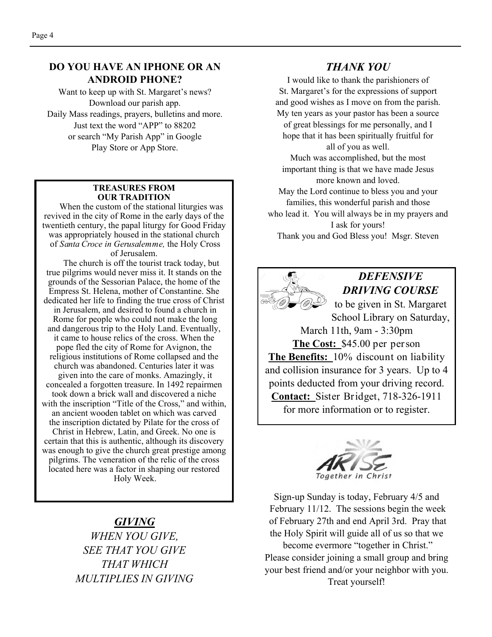#### **DO YOU HAVE AN IPHONE OR AN ANDROID PHONE?**

Want to keep up with St. Margaret's news? Download our parish app. Daily Mass readings, prayers, bulletins and more. Just text the word "APP" to 88202 or search "My Parish App" in Google Play Store or App Store.

#### **TREASURES FROM OUR TRADITION**

 When the custom of the stational liturgies was revived in the city of Rome in the early days of the twentieth century, the papal liturgy for Good Friday was appropriately housed in the stational church of *Santa Croce in Gerusalemme,* the Holy Cross of Jerusalem.

 The church is off the tourist track today, but true pilgrims would never miss it. It stands on the grounds of the Sessorian Palace, the home of the Empress St. Helena, mother of Constantine. She dedicated her life to finding the true cross of Christ in Jerusalem, and desired to found a church in Rome for people who could not make the long and dangerous trip to the Holy Land. Eventually, it came to house relics of the cross. When the pope fled the city of Rome for Avignon, the religious institutions of Rome collapsed and the church was abandoned. Centuries later it was given into the care of monks. Amazingly, it concealed a forgotten treasure. In 1492 repairmen took down a brick wall and discovered a niche with the inscription "Title of the Cross," and within, an ancient wooden tablet on which was carved the inscription dictated by Pilate for the cross of Christ in Hebrew, Latin, and Greek. No one is certain that this is authentic, although its discovery was enough to give the church great prestige among pilgrims. The veneration of the relic of the cross located here was a factor in shaping our restored Holy Week.

#### *GIVING*

*WHEN YOU GIVE, SEE THAT YOU GIVE THAT WHICH MULTIPLIES IN GIVING* 

#### *THANK YOU*

I would like to thank the parishioners of St. Margaret's for the expressions of support and good wishes as I move on from the parish. My ten years as your pastor has been a source of great blessings for me personally, and I hope that it has been spiritually fruitful for all of you as well. Much was accomplished, but the most important thing is that we have made Jesus more known and loved. May the Lord continue to bless you and your families, this wonderful parish and those who lead it. You will always be in my prayers and I ask for yours! Thank you and God Bless you! Msgr. Steven





Sign-up Sunday is today, February 4/5 and February 11/12. The sessions begin the week of February 27th and end April 3rd. Pray that the Holy Spirit will guide all of us so that we become evermore "together in Christ." Please consider joining a small group and bring your best friend and/or your neighbor with you. Treat yourself!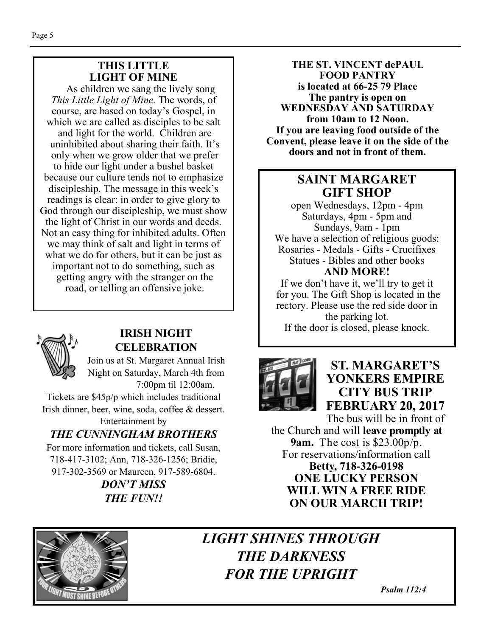#### **THIS LITTLE LIGHT OF MINE**

As children we sang the lively song *This Little Light of Mine.* The words, of course, are based on today's Gospel, in which we are called as disciples to be salt and light for the world. Children are uninhibited about sharing their faith. It's only when we grow older that we prefer to hide our light under a bushel basket because our culture tends not to emphasize discipleship. The message in this week's readings is clear: in order to give glory to God through our discipleship, we must show the light of Christ in our words and deeds. Not an easy thing for inhibited adults. Often we may think of salt and light in terms of what we do for others, but it can be just as important not to do something, such as getting angry with the stranger on the road, or telling an offensive joke.



#### **IRISH NIGHT CELEBRATION**

Join us at St. Margaret Annual Irish Night on Saturday, March 4th from 7:00pm til 12:00am.

Tickets are \$45p/p which includes traditional Irish dinner, beer, wine, soda, coffee & dessert.

#### Entertainment by *THE CUNNINGHAM BROTHERS*

For more information and tickets, call Susan, 718-417-3102; Ann, 718-326-1256; Bridie, 917-302-3569 or Maureen, 917-589-6804.

> *DON'T MISS THE FUN!!*

**THE ST. VINCENT dePAUL FOOD PANTRY is located at 66-25 79 Place The pantry is open on WEDNESDAY AND SATURDAY from 10am to 12 Noon. If you are leaving food outside of the Convent, please leave it on the side of the doors and not in front of them.** 

### **SAINT MARGARET GIFT SHOP**

open Wednesdays, 12pm - 4pm Saturdays, 4pm - 5pm and Sundays, 9am - 1pm We have a selection of religious goods: Rosaries - Medals - Gifts - Crucifixes Statues - Bibles and other books **AND MORE!** 

If we don't have it, we'll try to get it for you. The Gift Shop is located in the rectory. Please use the red side door in the parking lot. If the door is closed, please knock.



## **ST. MARGARET'S YONKERS EMPIRE CITY BUS TRIP FEBRUARY 20, 2017**

The bus will be in front of the Church and will **leave promptly at 9am.** The cost is \$23.00p/p. For reservations/information call **Betty, 718-326-0198 ONE LUCKY PERSON WILL WIN A FREE RIDE ON OUR MARCH TRIP!** 



## *LIGHT SHINES THROUGH THE DARKNESS FOR THE UPRIGHT*

 *Psalm 112:4*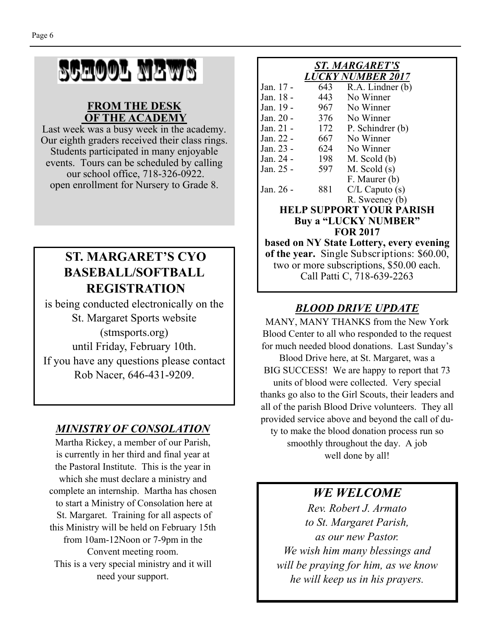# SCHOOL NEWS

#### **FROM THE DESK OF THE ACADEMY**

Last week was a busy week in the academy. Our eighth graders received their class rings. Students participated in many enjoyable events. Tours can be scheduled by calling our school office, 718-326-0922. open enrollment for Nursery to Grade 8.

## **ST. MARGARET'S CYO BASEBALL/SOFTBALL REGISTRATION**

is being conducted electronically on the St. Margaret Sports website (stmsports.org) until Friday, February 10th. If you have any questions please contact Rob Nacer, 646-431-9209.

## *MINISTRY OF CONSOLATION*

Martha Rickey, a member of our Parish, is currently in her third and final year at the Pastoral Institute. This is the year in which she must declare a ministry and complete an internship. Martha has chosen to start a Ministry of Consolation here at St. Margaret. Training for all aspects of this Ministry will be held on February 15th from 10am-12Noon or 7-9pm in the Convent meeting room. This is a very special ministry and it will need your support.

#### *ST. MARGARET'S LUCKY NUMBER 2017*  Jan. 17 - 643 R.A. Lindner (b) Jan. 18 - 443 No Winner Jan. 19 - 967 No Winner Jan. 20 - 376 No Winner Jan. 21 - 172 P. Schindrer (b) Jan. 22 - 667 No Winner Jan. 23 - 624 No Winner Jan. 24 - 198 M. Scold (b) Jan. 25 - 597 M. Scold (s) F. Maurer (b) Jan. 26 - 881 C/L Caputo (s) R. Sweeney (b) **HELP SUPPORT YOUR PARISH Buy a "LUCKY NUMBER" FOR 2017**

**based on NY State Lottery, every evening of the year.** Single Subscriptions: \$60.00, two or more subscriptions, \$50.00 each. Call Patti C, 718-639-2263

## *BLOOD DRIVE UPDATE*

MANY, MANY THANKS from the New York Blood Center to all who responded to the request for much needed blood donations. Last Sunday's Blood Drive here, at St. Margaret, was a BIG SUCCESS! We are happy to report that 73 units of blood were collected. Very special thanks go also to the Girl Scouts, their leaders and all of the parish Blood Drive volunteers. They all provided service above and beyond the call of duty to make the blood donation process run so smoothly throughout the day. A job well done by all!

*WE WELCOME* 

*Rev. Robert J. Armato to St. Margaret Parish, as our new Pastor. We wish him many blessings and will be praying for him, as we know he will keep us in his prayers.*